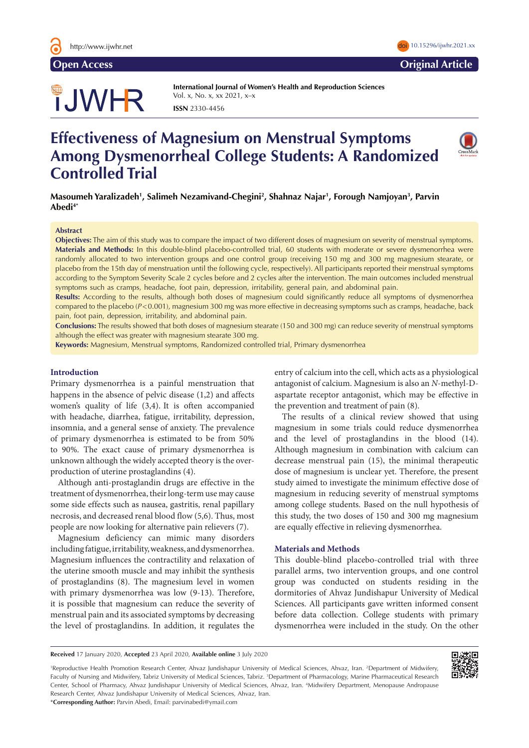

**Open Access Original Article**

# TJWHR

**International Journal of Women's Health and Reproduction Sciences**  Vol. x, No. x, xx 2021, x–x **ISSN** 2330-4456

# **Effectiveness of Magnesium on Menstrual Symptoms Among Dysmenorrheal College Students: A Randomized Controlled Trial**

**Masoumeh Yaralizadeh1 , Salimeh Nezamivand-Chegini2 , Shahnaz Najar1 , Forough Namjoyan3 , Parvin Abedi4\***

# **Abstract**

**Objectives:** The aim of this study was to compare the impact of two different doses of magnesium on severity of menstrual symptoms. **Materials and Methods:** In this double-blind placebo-controlled trial, 60 students with moderate or severe dysmenorrhea were randomly allocated to two intervention groups and one control group (receiving 150 mg and 300 mg magnesium stearate, or placebo from the 15th day of menstruation until the following cycle, respectively). All participants reported their menstrual symptoms according to the Symptom Severity Scale 2 cycles before and 2 cycles after the intervention. The main outcomes included menstrual symptoms such as cramps, headache, foot pain, depression, irritability, general pain, and abdominal pain.

**Results:** According to the results, although both doses of magnesium could significantly reduce all symptoms of dysmenorrhea compared to the placebo ( $P < 0.001$ ), magnesium 300 mg was more effective in decreasing symptoms such as cramps, headache, back pain, foot pain, depression, irritability, and abdominal pain.

**Conclusions:** The results showed that both doses of magnesium stearate (150 and 300 mg) can reduce severity of menstrual symptoms although the effect was greater with magnesium stearate 300 mg.

**Keywords:** Magnesium, Menstrual symptoms, Randomized controlled trial, Primary dysmenorrhea

# **Introduction**

Primary dysmenorrhea is a painful menstruation that happens in the absence of pelvic disease (1,2) and affects women's quality of life (3,4). It is often accompanied with headache, diarrhea, fatigue, irritability, depression, insomnia, and a general sense of anxiety. The prevalence of primary dysmenorrhea is estimated to be from 50% to 90%. The exact cause of primary dysmenorrhea is unknown although the widely accepted theory is the overproduction of uterine prostaglandins (4).

Although anti-prostaglandin drugs are effective in the treatment of dysmenorrhea, their long-term use may cause some side effects such as nausea, gastritis, renal papillary necrosis, and decreased renal blood flow (5,6). Thus, most people are now looking for alternative pain relievers (7).

Magnesium deficiency can mimic many disorders including fatigue, irritability, weakness, and dysmenorrhea. Magnesium influences the contractility and relaxation of the uterine smooth muscle and may inhibit the synthesis of prostaglandins (8). The magnesium level in women with primary dysmenorrhea was low (9-13). Therefore, it is possible that magnesium can reduce the severity of menstrual pain and its associated symptoms by decreasing the level of prostaglandins. In addition, it regulates the

entry of calcium into the cell, which acts as a physiological antagonist of calcium. Magnesium is also an *N*-methyl-Daspartate receptor antagonist, which may be effective in the prevention and treatment of pain (8).

The results of a clinical review showed that using magnesium in some trials could reduce dysmenorrhea and the level of prostaglandins in the blood (14). Although magnesium in combination with calcium can decrease menstrual pain (15), the minimal therapeutic dose of magnesium is unclear yet. Therefore, the present study aimed to investigate the minimum effective dose of magnesium in reducing severity of menstrual symptoms among college students. Based on the null hypothesis of this study, the two doses of 150 and 300 mg magnesium are equally effective in relieving dysmenorrhea.

# **Materials and Methods**

This double-blind placebo-controlled trial with three parallel arms, two intervention groups, and one control group was conducted on students residing in the dormitories of Ahvaz Jundishapur University of Medical Sciences. All participants gave written informed consent before data collection. College students with primary dysmenorrhea were included in the study. On the other

**Received** 17 January 2020, **Accepted** 23 April 2020, **Available online** 3 July 2020

1 Reproductive Health Promotion Research Center, Ahvaz Jundishapur University of Medical Sciences, Ahvaz, Iran. 2 Department of Midwifery, Faculty of Nursing and Midwifery, Tabriz University of Medical Sciences, Tabriz. 3 Department of Pharmacology, Marine Pharmaceutical Research Center, School of Pharmacy, Ahvaz Jundishapur University of Medical Sciences, Ahvaz, Iran. 4 Midwifery Department, Menopause Andropause Research Center, Ahvaz Jundishapur University of Medical Sciences, Ahvaz, Iran. \***Corresponding Author:** Parvin Abedi, Email: parvinabedi@ymail.com

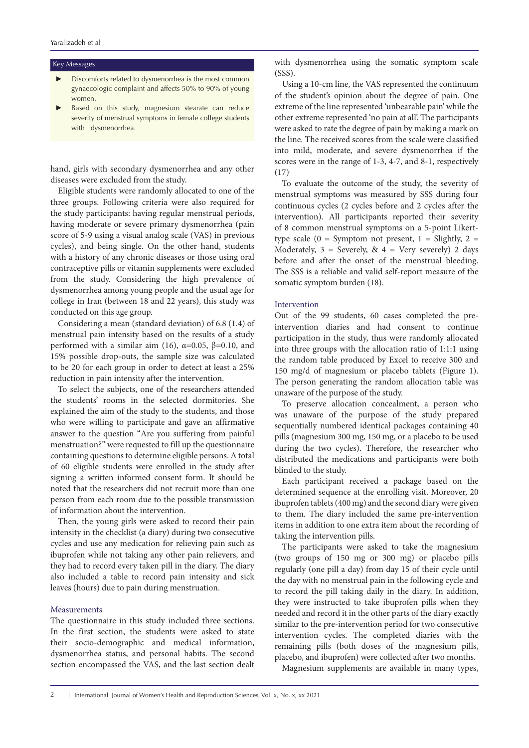#### Key Messages

- Discomforts related to dysmenorrhea is the most common gynaecologic complaint and affects 50% to 90% of young women.
- Based on this study, magnesium stearate can reduce severity of menstrual symptoms in female college students with dysmenorrhea.

hand, girls with secondary dysmenorrhea and any other diseases were excluded from the study.

Eligible students were randomly allocated to one of the three groups. Following criteria were also required for the study participants: having regular menstrual periods, having moderate or severe primary dysmenorrhea (pain score of 5-9 using a visual analog scale (VAS) in previous cycles), and being single. On the other hand, students with a history of any chronic diseases or those using oral contraceptive pills or vitamin supplements were excluded from the study. Considering the high prevalence of dysmenorrhea among young people and the usual age for college in Iran (between 18 and 22 years), this study was conducted on this age group.

Considering a mean (standard deviation) of 6.8 (1.4) of menstrual pain intensity based on the results of a study performed with a similar aim (16),  $α=0.05$ ,  $β=0.10$ , and 15% possible drop-outs, the sample size was calculated to be 20 for each group in order to detect at least a 25% reduction in pain intensity after the intervention.

To select the subjects, one of the researchers attended the students' rooms in the selected dormitories. She explained the aim of the study to the students, and those who were willing to participate and gave an affirmative answer to the question "Are you suffering from painful menstruation?" were requested to fill up the questionnaire containing questions to determine eligible persons. A total of 60 eligible students were enrolled in the study after signing a written informed consent form. It should be noted that the researchers did not recruit more than one person from each room due to the possible transmission of information about the intervention.

Then, the young girls were asked to record their pain intensity in the checklist (a diary) during two consecutive cycles and use any medication for relieving pain such as ibuprofen while not taking any other pain relievers, and they had to record every taken pill in the diary. The diary also included a table to record pain intensity and sick leaves (hours) due to pain during menstruation.

# Measurements

The questionnaire in this study included three sections. In the first section, the students were asked to state their socio-demographic and medical information, dysmenorrhea status, and personal habits. The second section encompassed the VAS, and the last section dealt

with dysmenorrhea using the somatic symptom scale (SSS).

Using a 10-cm line, the VAS represented the continuum of the student's opinion about the degree of pain. One extreme of the line represented 'unbearable pain' while the other extreme represented 'no pain at all'. The participants were asked to rate the degree of pain by making a mark on the line. The received scores from the scale were classified into mild, moderate, and severe dysmenorrhea if the scores were in the range of 1-3, 4-7, and 8-1, respectively  $(17)$ 

To evaluate the outcome of the study, the severity of menstrual symptoms was measured by SSS during four continuous cycles (2 cycles before and 2 cycles after the intervention). All participants reported their severity of 8 common menstrual symptoms on a 5-point Likerttype scale  $(0 =$  Symptom not present,  $1 =$  Slightly,  $2 =$ Moderately,  $3 =$  Severely,  $8x 4 =$  Very severely) 2 days before and after the onset of the menstrual bleeding. The SSS is a reliable and valid self-report measure of the somatic symptom burden (18).

# Intervention

Out of the 99 students, 60 cases completed the preintervention diaries and had consent to continue participation in the study, thus were randomly allocated into three groups with the allocation ratio of 1:1:1 using the random table produced by Excel to receive 300 and 150 mg/d of magnesium or placebo tablets (Figure 1). The person generating the random allocation table was unaware of the purpose of the study.

To preserve allocation concealment, a person who was unaware of the purpose of the study prepared sequentially numbered identical packages containing 40 pills (magnesium 300 mg, 150 mg, or a placebo to be used during the two cycles). Therefore, the researcher who distributed the medications and participants were both blinded to the study.

Each participant received a package based on the determined sequence at the enrolling visit. Moreover, 20 ibuprofen tablets (400 mg) and the second diary were given to them. The diary included the same pre-intervention items in addition to one extra item about the recording of taking the intervention pills.

The participants were asked to take the magnesium (two groups of 150 mg or 300 mg) or placebo pills regularly (one pill a day) from day 15 of their cycle until the day with no menstrual pain in the following cycle and to record the pill taking daily in the diary. In addition, they were instructed to take ibuprofen pills when they needed and record it in the other parts of the diary exactly similar to the pre-intervention period for two consecutive intervention cycles. The completed diaries with the remaining pills (both doses of the magnesium pills, placebo, and ibuprofen) were collected after two months.

Magnesium supplements are available in many types,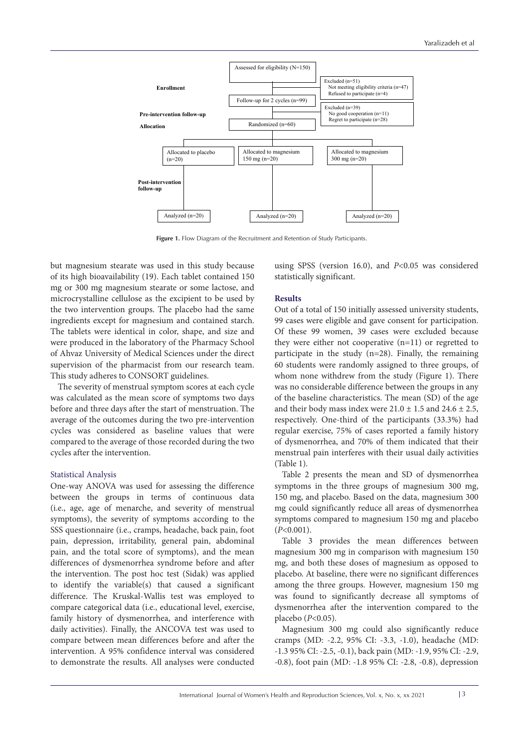

Figure 1. Flow Diagram of the Recruitment and Retention of Study Participants.

but magnesium stearate was used in this study because of its high bioavailability (19). Each tablet contained 150 mg or 300 mg magnesium stearate or some lactose, and microcrystalline cellulose as the excipient to be used by the two intervention groups. The placebo had the same ingredients except for magnesium and contained starch. The tablets were identical in color, shape, and size and were produced in the laboratory of the Pharmacy School of Ahvaz University of Medical Sciences under the direct supervision of the pharmacist from our research team. This study adheres to CONSORT guidelines.

The severity of menstrual symptom scores at each cycle was calculated as the mean score of symptoms two days before and three days after the start of menstruation. The average of the outcomes during the two pre-intervention cycles was considered as baseline values that were compared to the average of those recorded during the two cycles after the intervention.

# Statistical Analysis

One-way ANOVA was used for assessing the difference between the groups in terms of continuous data (i.e., age, age of menarche, and severity of menstrual symptoms), the severity of symptoms according to the SSS questionnaire (i.e., cramps, headache, back pain, foot pain, depression, irritability, general pain, abdominal pain, and the total score of symptoms), and the mean differences of dysmenorrhea syndrome before and after the intervention. The post hoc test (Sidak) was applied to identify the variable(s) that caused a significant difference. The Kruskal-Wallis test was employed to compare categorical data (i.e., educational level, exercise, family history of dysmenorrhea, and interference with daily activities). Finally, the ANCOVA test was used to compare between mean differences before and after the intervention. A 95% confidence interval was considered to demonstrate the results. All analyses were conducted

using SPSS (version 16.0), and *P*<0.05 was considered statistically significant.

# **Results**

Out of a total of 150 initially assessed university students, 99 cases were eligible and gave consent for participation. Of these 99 women, 39 cases were excluded because they were either not cooperative (n=11) or regretted to participate in the study (n=28). Finally, the remaining 60 students were randomly assigned to three groups, of whom none withdrew from the study (Figure 1). There was no considerable difference between the groups in any of the baseline characteristics. The mean (SD) of the age and their body mass index were  $21.0 \pm 1.5$  and  $24.6 \pm 2.5$ , respectively. One-third of the participants (33.3%) had regular exercise, 75% of cases reported a family history of dysmenorrhea, and 70% of them indicated that their menstrual pain interferes with their usual daily activities (Table 1).

Table 2 presents the mean and SD of dysmenorrhea symptoms in the three groups of magnesium 300 mg, 150 mg, and placebo. Based on the data, magnesium 300 mg could significantly reduce all areas of dysmenorrhea symptoms compared to magnesium 150 mg and placebo (*P*<0.001).

Table 3 provides the mean differences between magnesium 300 mg in comparison with magnesium 150 mg, and both these doses of magnesium as opposed to placebo. At baseline, there were no significant differences among the three groups. However, magnesium 150 mg was found to significantly decrease all symptoms of dysmenorrhea after the intervention compared to the placebo (*P*<0.05).

Magnesium 300 mg could also significantly reduce cramps (MD: -2.2, 95% CI: -3.3, -1.0), headache (MD: -1.3 95% CI: -2.5, -0.1), back pain (MD: -1.9, 95% CI: -2.9, -0.8), foot pain (MD: -1.8 95% CI: -2.8, -0.8), depression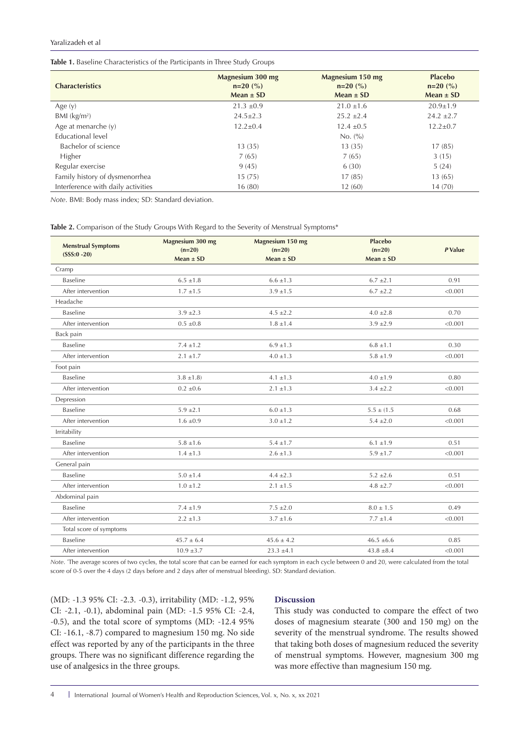#### Yaralizadeh et al

| Table 1. Baseline Characteristics of the Participants in Three Study Groups |  |  |  |  |  |
|-----------------------------------------------------------------------------|--|--|--|--|--|
|-----------------------------------------------------------------------------|--|--|--|--|--|

| <b>Characteristics</b>             | Magnesium 300 mg<br>$n=20$ (%)<br>$Mean \pm SD$ | Magnesium 150 mg<br>$n=20$ (%)<br>Mean $\pm$ SD | <b>Placebo</b><br>$n=20$ (%)<br>Mean $\pm$ SD |
|------------------------------------|-------------------------------------------------|-------------------------------------------------|-----------------------------------------------|
| Age $(y)$                          | $21.3 \pm 0.9$                                  | $21.0 \pm 1.6$                                  | $20.9 \pm 1.9$                                |
| $BMl$ (kg/m <sup>2</sup> )         | $24.5 \pm 2.3$                                  | $25.2 + 2.4$                                    | $24.2 + 2.7$                                  |
| Age at menarche $(y)$              | $12.2 \pm 0.4$                                  | $12.4 \pm 0.5$                                  | $12.2 \pm 0.7$                                |
| Educational level                  |                                                 | No. (%)                                         |                                               |
| Bachelor of science                | 13(35)                                          | 13(35)                                          | 17(85)                                        |
| Higher                             | 7(65)                                           | 7(65)                                           | 3(15)                                         |
| Regular exercise                   | 9(45)                                           | 6(30)                                           | 5(24)                                         |
| Family history of dysmenorrhea     | 15(75)                                          | 17(85)                                          | 13(65)                                        |
| Interference with daily activities | 16(80)                                          | 12(60)                                          | 14(70)                                        |

*Note*. BMI: Body mass index; SD: Standard deviation.

|  |  |  |  | Table 2. Comparison of the Study Groups With Regard to the Severity of Menstrual Symptoms* |  |  |
|--|--|--|--|--------------------------------------------------------------------------------------------|--|--|
|--|--|--|--|--------------------------------------------------------------------------------------------|--|--|

| <b>Menstrual Symptoms</b><br>$(SSS:0 - 20)$ | Magnesium 300 mg<br>$(n=20)$<br>Mean $\pm$ SD | Magnesium 150 mg<br>$(n=20)$<br>Mean $\pm$ SD | <b>Placebo</b><br>$(n=20)$<br>$Mean \pm SD$ | P Value |  |
|---------------------------------------------|-----------------------------------------------|-----------------------------------------------|---------------------------------------------|---------|--|
| Cramp                                       |                                               |                                               |                                             |         |  |
| Baseline                                    | $6.5 + 1.8$                                   | $6.6 + 1.3$                                   | $6.7 \pm 2.1$                               | 0.91    |  |
| After intervention                          | $1.7 \pm 1.5$                                 | $3.9 \pm 1.5$                                 | $6.7 \pm 2.2$                               | < 0.001 |  |
| Headache                                    |                                               |                                               |                                             |         |  |
| Baseline                                    | $3.9 \pm 2.3$                                 | $4.5 \pm 2.2$                                 | $4.0 \pm 2.8$                               | 0.70    |  |
| After intervention                          | $0.5 \pm 0.8$                                 | $1.8 \pm 1.4$                                 | $3.9 \pm 2.9$                               | < 0.001 |  |
| Back pain                                   |                                               |                                               |                                             |         |  |
| Baseline                                    | $7.4 \pm 1.2$                                 | $6.9 \pm 1.3$                                 | $6.8 \pm 1.1$                               | 0.30    |  |
| After intervention                          | $2.1 \pm 1.7$                                 | $4.0 \pm 1.3$                                 | $5.8 \pm 1.9$                               | < 0.001 |  |
| Foot pain                                   |                                               |                                               |                                             |         |  |
| Baseline                                    | $3.8 \pm 1.8$                                 | $4.1 \pm 1.3$                                 | $4.0 \pm 1.9$                               | 0.80    |  |
| After intervention                          | $0.2 \pm 0.6$                                 | $2.1 \pm 1.3$                                 | $3.4 \pm 2.2$                               | < 0.001 |  |
| Depression                                  |                                               |                                               |                                             |         |  |
| Baseline                                    | $5.9 \pm 2.1$                                 | $6.0 \pm 1.3$                                 | $5.5 \pm (1.5)$                             | 0.68    |  |
| After intervention                          | $1.6 \pm 0.9$                                 | $3.0 \pm 1.2$                                 | $5.4 \pm 2.0$                               | < 0.001 |  |
| Irritability                                |                                               |                                               |                                             |         |  |
| Baseline                                    | $5.8 \pm 1.6$                                 | $5.4 \pm 1.7$                                 | $6.1 \pm 1.9$                               | 0.51    |  |
| After intervention                          | $1.4 \pm 1.3$                                 | $2.6 \pm 1.3$                                 | $5.9 \pm 1.7$                               | < 0.001 |  |
| General pain                                |                                               |                                               |                                             |         |  |
| Baseline                                    | $5.0 \pm 1.4$                                 | $4.4 \pm 2.3$                                 | $5.2 \pm 2.6$                               | 0.51    |  |
| After intervention                          | $1.0 \pm 1.2$                                 | $2.1 \pm 1.5$                                 | $4.8 \pm 2.7$                               | < 0.001 |  |
| Abdominal pain                              |                                               |                                               |                                             |         |  |
| Baseline                                    | $7.4 \pm 1.9$                                 | $7.5 \pm 2.0$                                 | $8.0 \pm 1.5$                               | 0.49    |  |
| After intervention                          | $2.2 \pm 1.3$                                 | $3.7 \pm 1.6$                                 | $7.7 \pm 1.4$                               | < 0.001 |  |
| Total score of symptoms                     |                                               |                                               |                                             |         |  |
| Baseline                                    | $45.7 \pm 6.4$                                | $45.6 \pm 4.2$                                | $46.5 \pm 6.6$                              | 0.85    |  |
| After intervention                          | $10.9 \pm 3.7$                                | $23.3 \pm 4.1$                                | $43.8 \pm 8.4$                              | < 0.001 |  |

*Note*. \* The average scores of two cycles, the total score that can be earned for each symptom in each cycle between 0 and 20, were calculated from the total score of 0-5 over the 4 days (2 days before and 2 days after of menstrual bleeding). SD: Standard deviation.

(MD: -1.3 95% CI: -2.3. -0.3), irritability (MD: -1.2, 95% CI: -2.1, -0.1), abdominal pain (MD: -1.5 95% CI: -2.4, -0.5), and the total score of symptoms (MD: -12.4 95% CI: -16.1, -8.7) compared to magnesium 150 mg. No side effect was reported by any of the participants in the three groups. There was no significant difference regarding the use of analgesics in the three groups.

# **Discussion**

This study was conducted to compare the effect of two doses of magnesium stearate (300 and 150 mg) on the severity of the menstrual syndrome. The results showed that taking both doses of magnesium reduced the severity of menstrual symptoms. However, magnesium 300 mg was more effective than magnesium 150 mg.

4 International Journal of Women's Health and Reproduction Sciences, Vol. x, No. x, xx 2021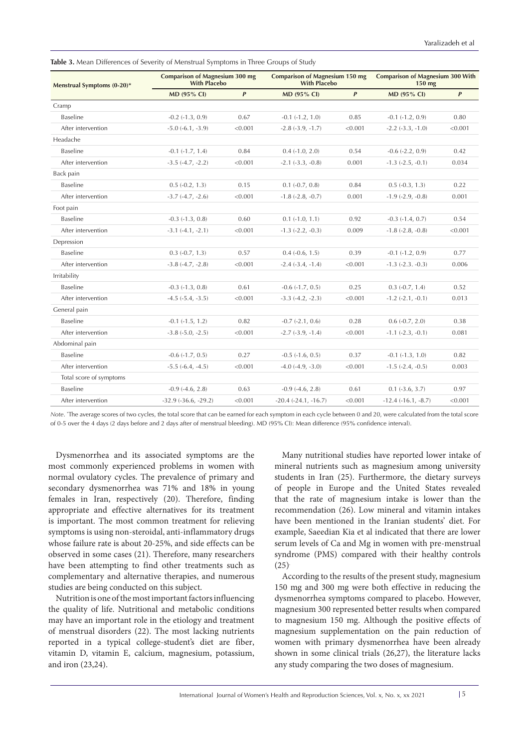**Table 3.** Mean Differences of Severity of Menstrual Symptoms in Three Groups of Study

| Menstrual Symptoms (0-20)* | <b>Comparison of Magnesium 300 mg</b><br><b>With Placebo</b> |              | <b>Comparison of Magnesium 150 mg</b><br><b>With Placebo</b> |                  | <b>Comparison of Magnesium 300 With</b><br>150 mg |           |
|----------------------------|--------------------------------------------------------------|--------------|--------------------------------------------------------------|------------------|---------------------------------------------------|-----------|
|                            | MD (95% CI)                                                  | $\mathbf{P}$ | MD (95% CI)                                                  | $\boldsymbol{P}$ | MD (95% CI)                                       | $\pmb{P}$ |
| Cramp                      |                                                              |              |                                                              |                  |                                                   |           |
| Baseline                   | $-0.2$ $(-1.3, 0.9)$                                         | 0.67         | $-0.1 (-1.2, 1.0)$                                           | 0.85             | $-0.1$ $(-1.2, 0.9)$                              | 0.80      |
| After intervention         | $-5.0$ $(-6.1, -3.9)$                                        | < 0.001      | $-2.8$ $(-3.9, -1.7)$                                        | < 0.001          | $-2.2$ $(-3.3, -1.0)$                             | < 0.001   |
| Headache                   |                                                              |              |                                                              |                  |                                                   |           |
| <b>Baseline</b>            | $-0.1$ $(-1.7, 1.4)$                                         | 0.84         | $0.4 (-1.0, 2.0)$                                            | 0.54             | $-0.6$ $(-2.2, 0.9)$                              | 0.42      |
| After intervention         | $-3.5$ $(-4.7, -2.2)$                                        | < 0.001      | $-2.1$ $(-3.3, -0.8)$                                        | 0.001            | $-1.3$ $(-2.5, -0.1)$                             | 0.034     |
| Back pain                  |                                                              |              |                                                              |                  |                                                   |           |
| <b>Baseline</b>            | $0.5(-0.2, 1.3)$                                             | 0.15         | $0.1 (-0.7, 0.8)$                                            | 0.84             | $0.5(-0.3, 1.3)$                                  | 0.22      |
| After intervention         | $-3.7$ $(-4.7, -2.6)$                                        | < 0.001      | $-1.8$ $(-2.8, -0.7)$                                        | 0.001            | $-1.9$ $(-2.9, -0.8)$                             | 0.001     |
| Foot pain                  |                                                              |              |                                                              |                  |                                                   |           |
| <b>Baseline</b>            | $-0.3$ $(-1.3, 0.8)$                                         | 0.60         | $0.1 (-1.0, 1.1)$                                            | 0.92             | $-0.3$ $(-1.4, 0.7)$                              | 0.54      |
| After intervention         | $-3.1(-4.1, -2.1)$                                           | < 0.001      | $-1.3$ $(-2.2, -0.3)$                                        | 0.009            | $-1.8$ $(-2.8, -0.8)$                             | < 0.001   |
| Depression                 |                                                              |              |                                                              |                  |                                                   |           |
| <b>Baseline</b>            | $0.3$ $(-0.7, 1.3)$                                          | 0.57         | $0.4 (-0.6, 1.5)$                                            | 0.39             | $-0.1$ $(-1.2, 0.9)$                              | 0.77      |
| After intervention         | $-3.8$ $(-4.7, -2.8)$                                        | < 0.001      | $-2.4$ $(-3.4, -1.4)$                                        | < 0.001          | $-1.3$ $(-2.3. -0.3)$                             | 0.006     |
| Irritability               |                                                              |              |                                                              |                  |                                                   |           |
| <b>Baseline</b>            | $-0.3$ $(-1.3, 0.8)$                                         | 0.61         | $-0.6$ $(-1.7, 0.5)$                                         | 0.25             | $0.3 (-0.7, 1.4)$                                 | 0.52      |
| After intervention         | $-4.5$ $(-5.4, -3.5)$                                        | < 0.001      | $-3.3$ $(-4.2, -2.3)$                                        | < 0.001          | $-1.2$ $(-2.1, -0.1)$                             | 0.013     |
| General pain               |                                                              |              |                                                              |                  |                                                   |           |
| <b>Baseline</b>            | $-0.1$ $(-1.5, 1.2)$                                         | 0.82         | $-0.7$ $(-2.1, 0.6)$                                         | 0.28             | $0.6(-0.7, 2.0)$                                  | 0.38      |
| After intervention         | $-3.8$ $(-5.0, -2.5)$                                        | < 0.001      | $-2.7$ $(-3.9, -1.4)$                                        | < 0.001          | $-1.1$ $(-2.3, -0.1)$                             | 0.081     |
| Abdominal pain             |                                                              |              |                                                              |                  |                                                   |           |
| <b>Baseline</b>            | $-0.6$ $(-1.7, 0.5)$                                         | 0.27         | $-0.5$ $(-1.6, 0.5)$                                         | 0.37             | $-0.1$ $(-1.3, 1.0)$                              | 0.82      |
| After intervention         | $-5.5$ $(-6.4, -4.5)$                                        | < 0.001      | $-4.0$ $(-4.9, -3.0)$                                        | < 0.001          | $-1.5$ $(-2.4, -0.5)$                             | 0.003     |
| Total score of symptoms    |                                                              |              |                                                              |                  |                                                   |           |
| Baseline                   | $-0.9$ $(-4.6, 2.8)$                                         | 0.63         | $-0.9$ $(-4.6, 2.8)$                                         | 0.61             | $0.1 (-3.6, 3.7)$                                 | 0.97      |
| After intervention         | $-32.9$ $(-36.6, -29.2)$                                     | < 0.001      | $-20.4$ $(-24.1, -16.7)$                                     | < 0.001          | $-12.4(-16.1,-8.7)$                               | < 0.001   |

*Note*. \* The average scores of two cycles, the total score that can be earned for each symptom in each cycle between 0 and 20, were calculated from the total score of 0-5 over the 4 days (2 days before and 2 days after of menstrual bleeding). MD (95% CI): Mean difference (95% confidence interval).

Dysmenorrhea and its associated symptoms are the most commonly experienced problems in women with normal ovulatory cycles. The prevalence of primary and secondary dysmenorrhea was 71% and 18% in young females in Iran, respectively (20). Therefore, finding appropriate and effective alternatives for its treatment is important. The most common treatment for relieving symptoms is using non-steroidal, anti-inflammatory drugs whose failure rate is about 20-25%, and side effects can be observed in some cases (21). Therefore, many researchers have been attempting to find other treatments such as complementary and alternative therapies, and numerous studies are being conducted on this subject.

Nutrition is one of the most important factors influencing the quality of life. Nutritional and metabolic conditions may have an important role in the etiology and treatment of menstrual disorders (22). The most lacking nutrients reported in a typical college-student's diet are fiber, vitamin D, vitamin E, calcium, magnesium, potassium, and iron (23,24).

Many nutritional studies have reported lower intake of mineral nutrients such as magnesium among university students in Iran (25). Furthermore, the dietary surveys of people in Europe and the United States revealed that the rate of magnesium intake is lower than the recommendation (26). Low mineral and vitamin intakes have been mentioned in the Iranian students' diet. For example, Saeedian Kia et al indicated that there are lower serum levels of Ca and Mg in women with pre-menstrual syndrome (PMS) compared with their healthy controls  $(25)$ <sup>.</sup>

According to the results of the present study, magnesium 150 mg and 300 mg were both effective in reducing the dysmenorrhea symptoms compared to placebo. However, magnesium 300 represented better results when compared to magnesium 150 mg. Although the positive effects of magnesium supplementation on the pain reduction of women with primary dysmenorrhea have been already shown in some clinical trials (26,27), the literature lacks any study comparing the two doses of magnesium.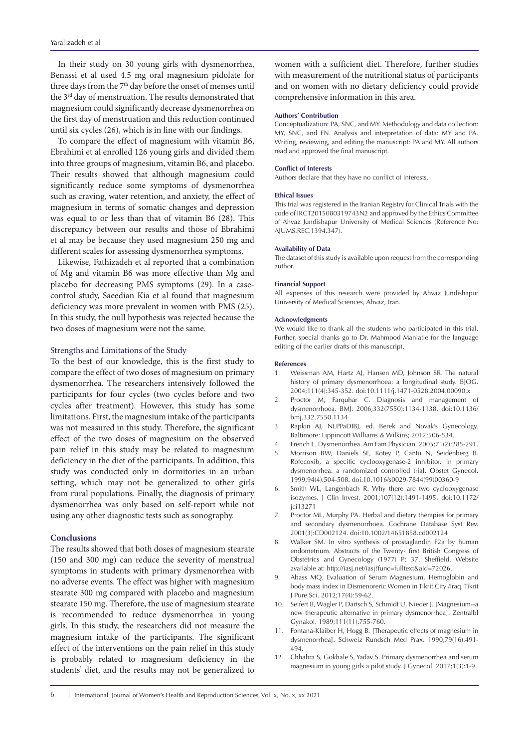In their study on 30 young girls with dysmenorrhea, Benassi et al used 4.5 mg oral magnesium pidolate for three days from the 7<sup>th</sup> day before the onset of menses until the 3<sup>rd</sup> day of menstruation. The results demonstrated that magnesium could significantly decrease dysmenorrhea on the first day of menstruation and this reduction continued until six cycles (26), which is in line with our findings.

To compare the effect of magnesium with vitamin B6, Ebrahimi et al enrolled 126 young girls and divided them into three groups of magnesium, vitamin B6, and placebo. Their results showed that although magnesium could significantly reduce some symptoms of dysmenorrhea such as craving, water retention, and anxiety, the effect of magnesium in terms of somatic changes and depression was equal to or less than that of vitamin B6 (28). This discrepancy between our results and those of Ebrahimi et al may be because they used magnesium 250 mg and different scales for assessing dysmenorrhea symptoms.

Likewise, Fathizadeh et al reported that a combination of Mg and vitamin B6 was more effective than Mg and placebo for decreasing PMS symptoms (29). In a casecontrol study, Saeedian Kia et al found that magnesium deficiency was more prevalent in women with PMS (25). In this study, the null hypothesis was rejected because the two doses of magnesium were not the same.

#### Strengths and Limitations of the Study

To the best of our knowledge, this is the first study to compare the effect of two doses of magnesium on primary dysmenorrhea. The researchers intensively followed the participants for four cycles (two cycles before and two cycles after treatment). However, this study has some limitations. First, the magnesium intake of the participants was not measured in this study. Therefore, the significant effect of the two doses of magnesium on the observed pain relief in this study may be related to magnesium deficiency in the diet of the participants. In addition, this study was conducted only in dormitories in an urban setting, which may not be generalized to other girls from rural populations. Finally, the diagnosis of primary dysmenorrhea was only based on self-report while not using any other diagnostic tests such as sonography.

### **Conclusions**

The results showed that both doses of magnesium stearate (150 and 300 mg) can reduce the severity of menstrual symptoms in students with primary dysmenorrhea with no adverse events. The effect was higher with magnesium stearate 300 mg compared with placebo and magnesium stearate 150 mg. Therefore, the use of magnesium stearate is recommended to reduce dysmenorrhea in young girls. In this study, the researchers did not measure the magnesium intake of the participants. The significant effect of the interventions on the pain relief in this study is probably related to magnesium deficiency in the students' diet, and the results may not be generalized to

women with a sufficient diet. Therefore, further studies with measurement of the nutritional status of participants and on women with no dietary deficiency could provide comprehensive information in this area.

#### **Authors' Contribution**

Conceptualization: PA, SNC, and MY. Methodology and data collection: MY, SNC, and FN. Analysis and interpretation of data: MY and PA. Writing, reviewing, and editing the manuscript: PA and MY. All authors read and approved the final manuscript.

#### **Conflict of Interests**

Authors declare that they have no conflict of interests.

#### **Ethical Issues**

This trial was registered in the Iranian Registry for Clinical Trials with the code of IRCT2015080319743N2 and approved by the Ethics Committee of Ahvaz Jundishapur University of Medical Sciences (Reference No: AJUMS.REC.1394.347).

#### **Availability of Data**

The dataset of this study is available upon request from the corresponding author.

#### **Financial Support**

All expenses of this research were provided by Ahvaz Jundishapur University of Medical Sciences, Ahvaz, Iran.

#### **Acknowledgments**

We would like to thank all the students who participated in this trial. Further, special thanks go to Dr. Mahmood Maniatie for the language editing of the earlier drafts of this manuscript.

#### **References**

- 1. Weissman AM, Hartz AJ, Hansen MD, Johnson SR. The natural history of primary dysmenorrhoea: a longitudinal study. BJOG. 2004;111(4):345-352. doi:10.1111/j.1471-0528.2004.00090.x
- 2. Proctor M, Farquhar C. Diagnosis and management of dysmenorrhoea. BMJ. 2006;332(7550):1134-1138. doi:10.1136/ bmj.332.7550.1134
- 3. Rapkin AJ, NLPPaDIBJ, ed. Berek and Novak's Gynecology. Baltimore: Lippincott Williams & Wilkins; 2012:506-534.
- 4. French L. Dysmenorrhea. Am Fam Physician. 2005;71(2):285-291.
- 5. Morrison BW, Daniels SE, Kotey P, Cantu N, Seidenberg B. Rofecoxib, a specific cyclooxygenase-2 inhibitor, in primary dysmenorrhea: a randomized controlled trial. Obstet Gynecol. 1999;94(4):504-508. doi:10.1016/s0029-7844(99)00360-9
- 6. Smith WL, Langenbach R. Why there are two cyclooxygenase isozymes. J Clin Invest. 2001;107(12):1491-1495. doi:10.1172/ jci13271
- 7. Proctor ML, Murphy PA. Herbal and dietary therapies for primary and secondary dysmenorrhoea. Cochrane Database Syst Rev. 2001(3):CD002124. doi:10.1002/14651858.cd002124
- 8. Walker SM. In vitro synthesis of prostaglandin F2a by human endometrium. Abstracts of the Twenty- first British Congress of Obstetrics and Gynecology (1977) P: 37. Sheffield. Website available at: http://iasj.net/iasj?func=fulltext&aId=72026.
- 9. Abass MQ. Evaluation of Serum Magnesium, Hemoglobin and body mass index in Dismenoreric Women in Tikrit City /Iraq. Tikrit J Pure Sci. 2012;17(4):59-62.
- 10. Seifert B, Wagler P, Dartsch S, Schmidt U, Nieder J. [Magnesium--a new therapeutic alternative in primary dysmenorrhea]. Zentralbl Gynakol. 1989;111(11):755-760.
- 11. Fontana-Klaiber H, Hogg B. [Therapeutic effects of magnesium in dysmenorrhea]. Schweiz Rundsch Med Prax. 1990;79(16):491- 494.
- 12. Chhabra S, Gokhale S, Yadav S. Primary dysmenorrhea and serum magnesium in young girls a pilot study. J Gynecol. 2017;1(3):1-9.